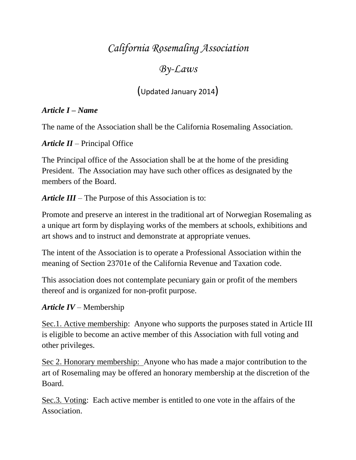# *California Rosemaling Association*

# *By-Laws*

(Updated January 2014)

## *Article I – Name*

The name of the Association shall be the California Rosemaling Association.

*Article II* – Principal Office

The Principal office of the Association shall be at the home of the presiding President. The Association may have such other offices as designated by the members of the Board.

*Article III* – The Purpose of this Association is to:

Promote and preserve an interest in the traditional art of Norwegian Rosemaling as a unique art form by displaying works of the members at schools, exhibitions and art shows and to instruct and demonstrate at appropriate venues.

The intent of the Association is to operate a Professional Association within the meaning of Section 23701e of the California Revenue and Taxation code.

This association does not contemplate pecuniary gain or profit of the members thereof and is organized for non-profit purpose.

# *Article IV* – Membership

Sec.1. Active membership: Anyone who supports the purposes stated in Article III is eligible to become an active member of this Association with full voting and other privileges.

Sec 2. Honorary membership: Anyone who has made a major contribution to the art of Rosemaling may be offered an honorary membership at the discretion of the Board.

Sec.3. Voting: Each active member is entitled to one vote in the affairs of the Association.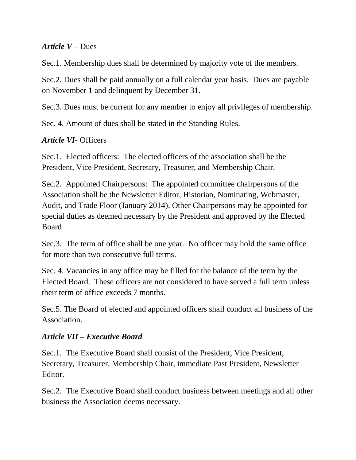#### *Article V* – Dues

Sec.1. Membership dues shall be determined by majority vote of the members.

Sec.2. Dues shall be paid annually on a full calendar year basis. Dues are payable on November 1 and delinquent by December 31.

Sec.3. Dues must be current for any member to enjoy all privileges of membership.

Sec. 4. Amount of dues shall be stated in the Standing Rules.

## *Article VI-* Officers

Sec.1. Elected officers: The elected officers of the association shall be the President, Vice President, Secretary, Treasurer, and Membership Chair.

Sec.2. Appointed Chairpersons: The appointed committee chairpersons of the Association shall be the Newsletter Editor, Historian, Nominating, Webmaster, Audit, and Trade Floor (January 2014). Other Chairpersons may be appointed for special duties as deemed necessary by the President and approved by the Elected Board

Sec.3. The term of office shall be one year. No officer may hold the same office for more than two consecutive full terms.

Sec. 4. Vacancies in any office may be filled for the balance of the term by the Elected Board. These officers are not considered to have served a full term unless their term of office exceeds 7 months.

Sec.5. The Board of elected and appointed officers shall conduct all business of the Association.

#### *Article VII – Executive Board*

Sec.1. The Executive Board shall consist of the President, Vice President, Secretary, Treasurer, Membership Chair, immediate Past President, Newsletter Editor.

Sec.2. The Executive Board shall conduct business between meetings and all other business the Association deems necessary.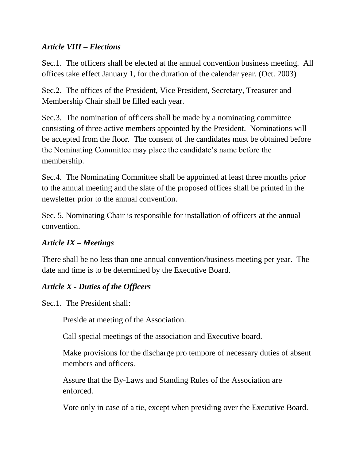#### *Article VIII – Elections*

Sec.1. The officers shall be elected at the annual convention business meeting. All offices take effect January 1, for the duration of the calendar year. (Oct. 2003)

Sec.2. The offices of the President, Vice President, Secretary, Treasurer and Membership Chair shall be filled each year.

Sec.3. The nomination of officers shall be made by a nominating committee consisting of three active members appointed by the President. Nominations will be accepted from the floor. The consent of the candidates must be obtained before the Nominating Committee may place the candidate's name before the membership.

Sec.4. The Nominating Committee shall be appointed at least three months prior to the annual meeting and the slate of the proposed offices shall be printed in the newsletter prior to the annual convention.

Sec. 5. Nominating Chair is responsible for installation of officers at the annual convention.

#### *Article IX – Meetings*

There shall be no less than one annual convention/business meeting per year. The date and time is to be determined by the Executive Board.

#### *Article X - Duties of the Officers*

Sec.1. The President shall:

Preside at meeting of the Association.

Call special meetings of the association and Executive board.

Make provisions for the discharge pro tempore of necessary duties of absent members and officers.

Assure that the By-Laws and Standing Rules of the Association are enforced.

Vote only in case of a tie, except when presiding over the Executive Board.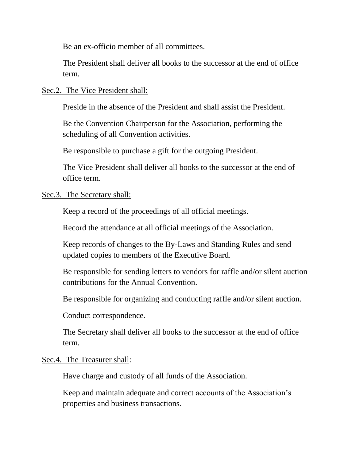Be an ex-officio member of all committees.

The President shall deliver all books to the successor at the end of office term.

#### Sec.2. The Vice President shall:

Preside in the absence of the President and shall assist the President.

Be the Convention Chairperson for the Association, performing the scheduling of all Convention activities.

Be responsible to purchase a gift for the outgoing President.

The Vice President shall deliver all books to the successor at the end of office term.

#### Sec.3. The Secretary shall:

Keep a record of the proceedings of all official meetings.

Record the attendance at all official meetings of the Association.

Keep records of changes to the By-Laws and Standing Rules and send updated copies to members of the Executive Board.

Be responsible for sending letters to vendors for raffle and/or silent auction contributions for the Annual Convention.

Be responsible for organizing and conducting raffle and/or silent auction.

Conduct correspondence.

The Secretary shall deliver all books to the successor at the end of office term.

#### Sec.4. The Treasurer shall:

Have charge and custody of all funds of the Association.

Keep and maintain adequate and correct accounts of the Association's properties and business transactions.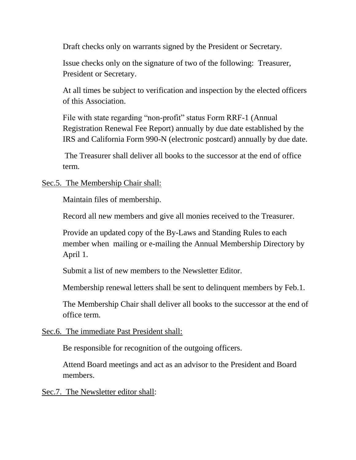Draft checks only on warrants signed by the President or Secretary.

Issue checks only on the signature of two of the following: Treasurer, President or Secretary.

At all times be subject to verification and inspection by the elected officers of this Association.

File with state regarding "non-profit" status Form RRF-1 (Annual Registration Renewal Fee Report) annually by due date established by the IRS and California Form 990-N (electronic postcard) annually by due date.

The Treasurer shall deliver all books to the successor at the end of office term.

#### Sec.5. The Membership Chair shall:

Maintain files of membership.

Record all new members and give all monies received to the Treasurer.

Provide an updated copy of the By-Laws and Standing Rules to each member when mailing or e-mailing the Annual Membership Directory by April 1.

Submit a list of new members to the Newsletter Editor.

Membership renewal letters shall be sent to delinquent members by Feb.1.

The Membership Chair shall deliver all books to the successor at the end of office term.

#### Sec.6. The immediate Past President shall:

Be responsible for recognition of the outgoing officers.

Attend Board meetings and act as an advisor to the President and Board members.

Sec.7. The Newsletter editor shall: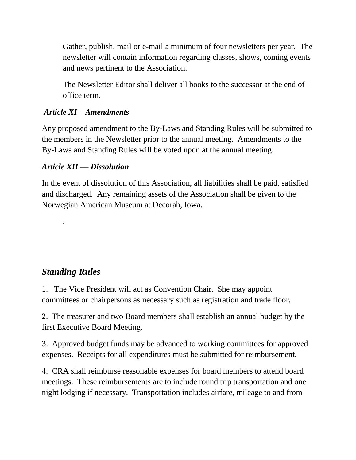Gather, publish, mail or e-mail a minimum of four newsletters per year. The newsletter will contain information regarding classes, shows, coming events and news pertinent to the Association.

The Newsletter Editor shall deliver all books to the successor at the end of office term.

## *Article XI – Amendments*

Any proposed amendment to the By-Laws and Standing Rules will be submitted to the members in the Newsletter prior to the annual meeting. Amendments to the By-Laws and Standing Rules will be voted upon at the annual meeting.

## *Article XII –– Dissolution*

In the event of dissolution of this Association, all liabilities shall be paid, satisfied and discharged. Any remaining assets of the Association shall be given to the Norwegian American Museum at Decorah, Iowa.

# *Standing Rules*

.

1. The Vice President will act as Convention Chair. She may appoint committees or chairpersons as necessary such as registration and trade floor.

2. The treasurer and two Board members shall establish an annual budget by the first Executive Board Meeting.

3. Approved budget funds may be advanced to working committees for approved expenses. Receipts for all expenditures must be submitted for reimbursement.

4. CRA shall reimburse reasonable expenses for board members to attend board meetings. These reimbursements are to include round trip transportation and one night lodging if necessary. Transportation includes airfare, mileage to and from